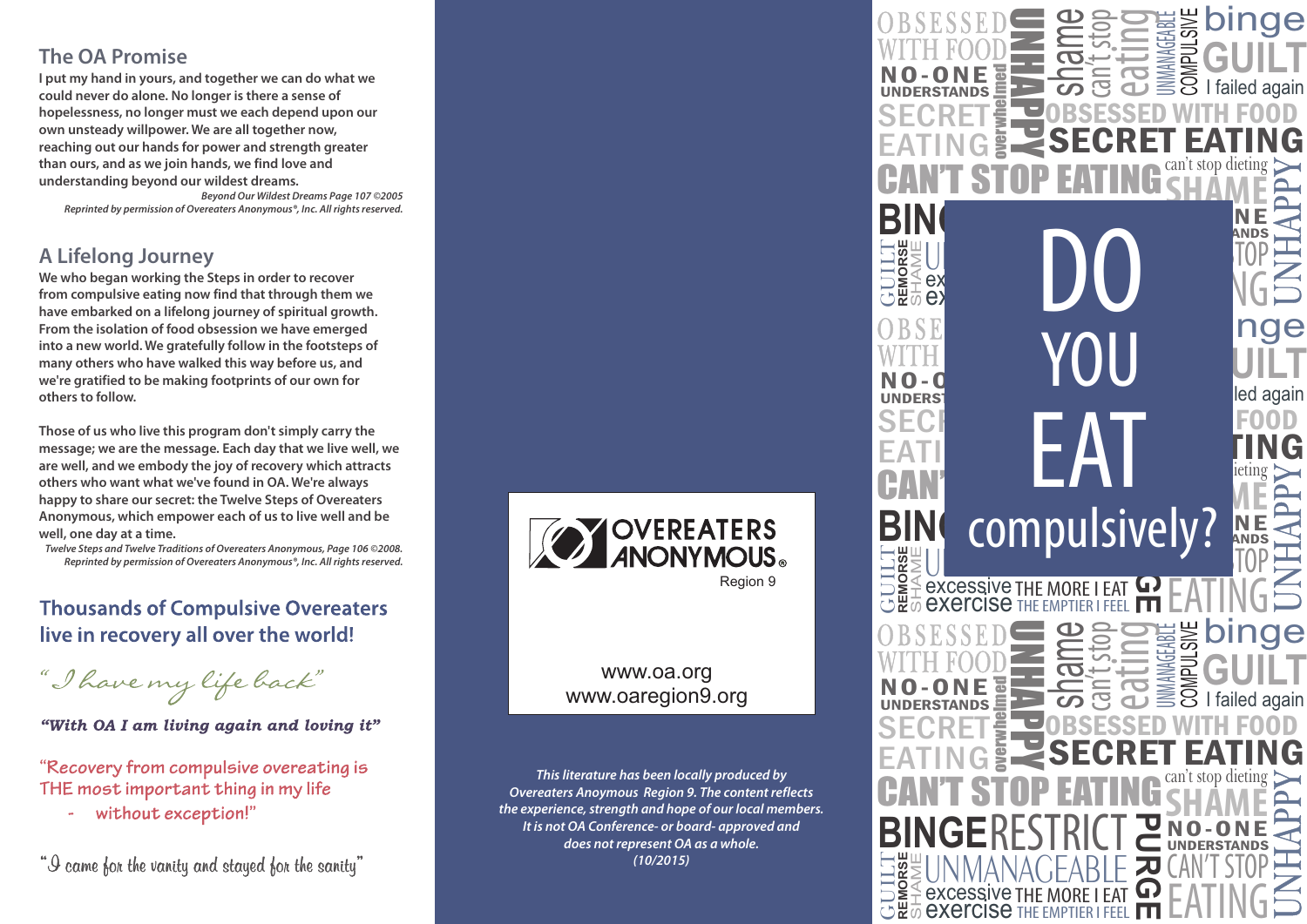### **The OA Promise**

**I put my hand in yours, and together we can do what we could never do alone. No longer is there a sense of hopelessness, no longer must we each depend upon our own unsteady willpower. We are all together now, reaching out our hands for power and strength greater than ours, and as we join hands, we find love and understanding beyond our wildest dreams.**

*Beyond Our Wildest Dreams Page 107 ©2005 Reprinted by permission of Overeaters Anonymous®, Inc. All rights reserved.*

## **A Lifelong Journey**

**We who began working the Steps in order to recover from compulsive eating now find that through them we have embarked on a lifelong journey of spiritual growth. From the isolation of food obsession we have emerged into a new world. We gratefully follow in the footsteps of many others who have walked this way before us, and we're gratified to be making footprints of our own for others to follow.**

**Those of us who live this program don't simply carry the message; we are the message. Each day that we live well, we are well, and we embody the joy of recovery which attracts others who want what we've found in OA. We're always happy to share our secret: the Twelve Steps of Overeaters Anonymous, which empower each of us to live well and be well, one day at a time.** 

*Twelve Steps and Twelve Traditions of Overeaters Anonymous, Page 106 ©2008. Reprinted by permission of Overeaters Anonymous®, Inc. All rights reserved.*

## **Thousands of Compulsive Overeaters** live in recovery all over the world!

"I have my life back"

"With OA I am living again and loving it"

"Recovery from compulsive overeating is THE most important thing in my life

without exception!"

"I came for the vanity and stayed for the sanity"



#### www.oa.org www.oaregion9.org

*This literature has been locally produced by Overeaters Anoymous Region 9. The content reflects the experience, strength and hope of our local members. It is not OA Conference- or board- approved and does not represent OA as a whole. (10/2015)*